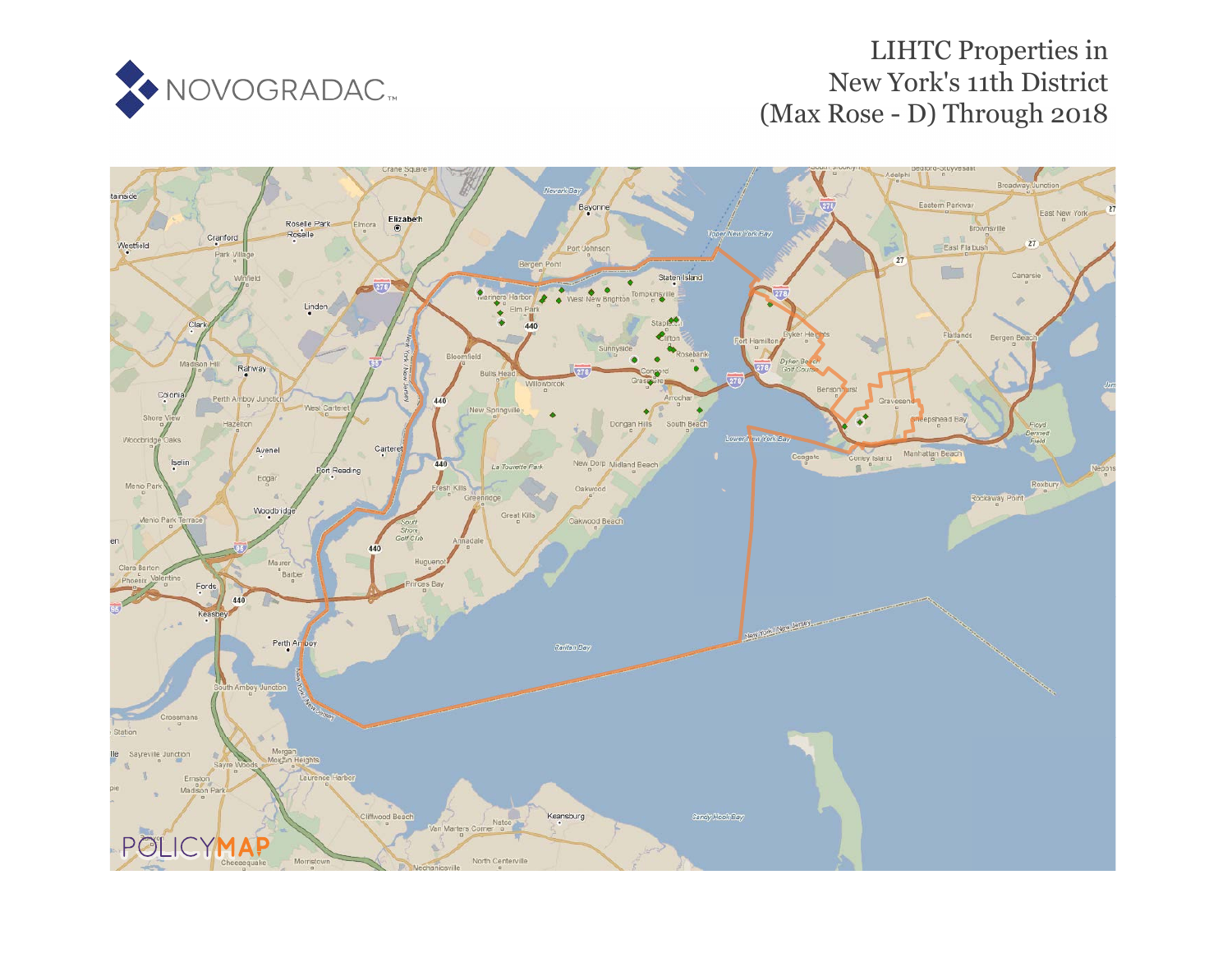

## LIHTC Properties in New York's 11th District (Max Rose - D) Through 2018

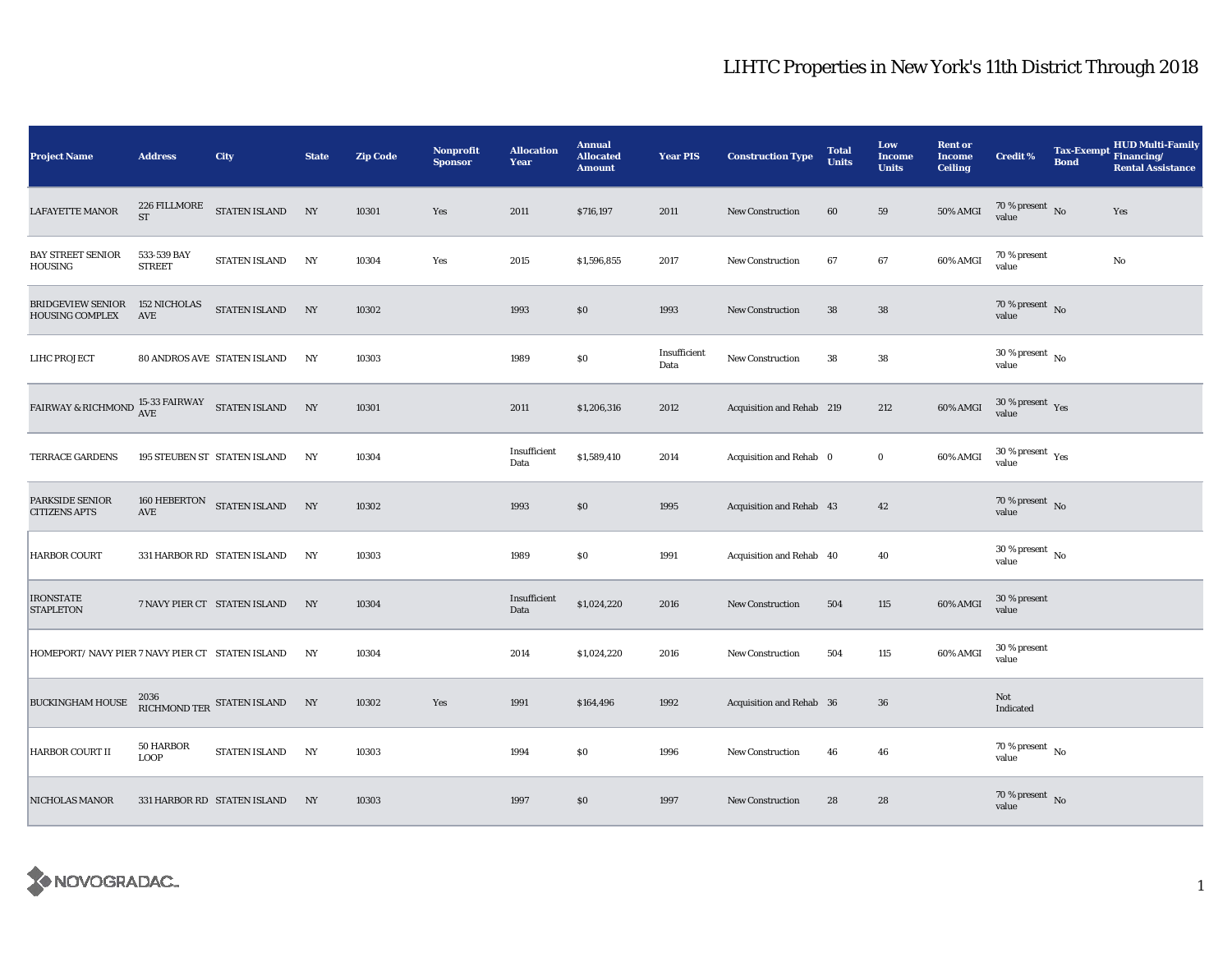## LIHTC Properties in New York's 11th District Through 2018

| <b>Project Name</b>                                                                                       | <b>Address</b>                    | <b>City</b>                        | <b>State</b> | <b>Zip Code</b> | Nonprofit<br><b>Sponsor</b> | <b>Allocation</b><br>Year | <b>Annual</b><br><b>Allocated</b><br><b>Amount</b> | <b>Year PIS</b>      | <b>Construction Type</b>  | <b>Total</b><br><b>Units</b> | Low<br><b>Income</b><br><b>Units</b> | <b>Rent or</b><br><b>Income</b><br><b>Ceiling</b> | <b>Credit %</b>                      | <b>Bond</b> | <b>HUD Multi-Family</b><br>Tax-Exempt Financing/<br><b>Rental Assistance</b> |
|-----------------------------------------------------------------------------------------------------------|-----------------------------------|------------------------------------|--------------|-----------------|-----------------------------|---------------------------|----------------------------------------------------|----------------------|---------------------------|------------------------------|--------------------------------------|---------------------------------------------------|--------------------------------------|-------------|------------------------------------------------------------------------------|
| LAFAYETTE MANOR                                                                                           | 226 FILLMORE<br>ST                | STATEN ISLAND NY                   |              | 10301           | Yes                         | 2011                      | \$716,197                                          | 2011                 | <b>New Construction</b>   | 60                           | 59                                   | <b>50% AMGI</b>                                   | $70\,\%$ present $\,$ No value       |             | Yes                                                                          |
| <b>BAY STREET SENIOR</b><br>HOUSING                                                                       | 533-539 BAY<br><b>STREET</b>      | STATEN ISLAND                      | NY           | 10304           | Yes                         | 2015                      | \$1,596,855                                        | 2017                 | <b>New Construction</b>   | 67                           | 67                                   | 60% AMGI                                          | 70 % present<br>value                |             | $\rm No$                                                                     |
| <b>BRIDGEVIEW SENIOR</b><br><b>HOUSING COMPLEX</b>                                                        | <b>152 NICHOLAS</b><br><b>AVE</b> | STATEN ISLAND                      | NY           | 10302           |                             | 1993                      | \$0                                                | 1993                 | <b>New Construction</b>   | 38                           | ${\bf 38}$                           |                                                   | 70 % present $\sqrt{\ }$ No<br>value |             |                                                                              |
| LIHC PROJECT                                                                                              |                                   | <b>80 ANDROS AVE STATEN ISLAND</b> | NY           | 10303           |                             | 1989                      | $\$0$                                              | Insufficient<br>Data | <b>New Construction</b>   | 38                           | ${\bf 38}$                           |                                                   | $30\,\%$ present $\,$ No value       |             |                                                                              |
| $\begin{array}{lll} \text{FAIRWAY & \text{R} RICHMOND & \text{AVE} & \text{STATEN ISLAND} \\ \end{array}$ |                                   |                                    | NY           | 10301           |                             | 2011                      | \$1,206,316                                        | 2012                 | Acquisition and Rehab 219 |                              | 212                                  | 60% AMGI                                          | $30\,\%$ present $\,$ Yes value      |             |                                                                              |
| TERRACE GARDENS                                                                                           |                                   | 195 STEUBEN ST STATEN ISLAND       | NY           | 10304           |                             | Insufficient<br>Data      | \$1,589,410                                        | 2014                 | Acquisition and Rehab 0   |                              | $\bf{0}$                             | 60% AMGI                                          | $30\,\%$ present $\,$ Yes value      |             |                                                                              |
| PARKSIDE SENIOR<br><b>CITIZENS APTS</b>                                                                   | AVE                               | 160 HEBERTON STATEN ISLAND         | NY           | 10302           |                             | 1993                      | \$0                                                | 1995                 | Acquisition and Rehab 43  |                              | 42                                   |                                                   | $70\,\%$ present $\,$ No value       |             |                                                                              |
| <b>HARBOR COURT</b>                                                                                       |                                   | 331 HARBOR RD STATEN ISLAND        | NY           | 10303           |                             | 1989                      | $\$0$                                              | 1991                 | Acquisition and Rehab 40  |                              | 40                                   |                                                   | $30\,\%$ present $\,$ No value       |             |                                                                              |
| <b>IRONSTATE</b><br><b>STAPLETON</b>                                                                      |                                   | 7 NAVY PIER CT STATEN ISLAND       | NY           | 10304           |                             | Insufficient<br>Data      | \$1,024,220                                        | 2016                 | New Construction          | 504                          | 115                                  | 60% AMGI                                          | 30 % present<br>value                |             |                                                                              |
| HOMEPORT/ NAVY PIER 7 NAVY PIER CT STATEN ISLAND                                                          |                                   |                                    | NY           | 10304           |                             | 2014                      | \$1,024,220                                        | 2016                 | <b>New Construction</b>   | 504                          | 115                                  | 60% AMGI                                          | 30 % present<br>value                |             |                                                                              |
| <b>BUCKINGHAM HOUSE</b>                                                                                   |                                   | RICHMOND TER STATEN ISLAND         | NY           | 10302           | Yes                         | 1991                      | \$164,496                                          | 1992                 | Acquisition and Rehab 36  |                              | 36                                   |                                                   | Not<br>Indicated                     |             |                                                                              |
| HARBOR COURT II                                                                                           | 50 HARBOR<br><b>LOOP</b>          | <b>STATEN ISLAND</b>               | NY           | 10303           |                             | 1994                      | \$0                                                | 1996                 | <b>New Construction</b>   | 46                           | 46                                   |                                                   | 70 % present $\hbox{~No}$<br>value   |             |                                                                              |
| NICHOLAS MANOR                                                                                            |                                   | 331 HARBOR RD STATEN ISLAND        | NY           | 10303           |                             | 1997                      | \$0                                                | 1997                 | <b>New Construction</b>   | 28                           | 28                                   |                                                   | $70\,\%$ present $\,$ No value       |             |                                                                              |

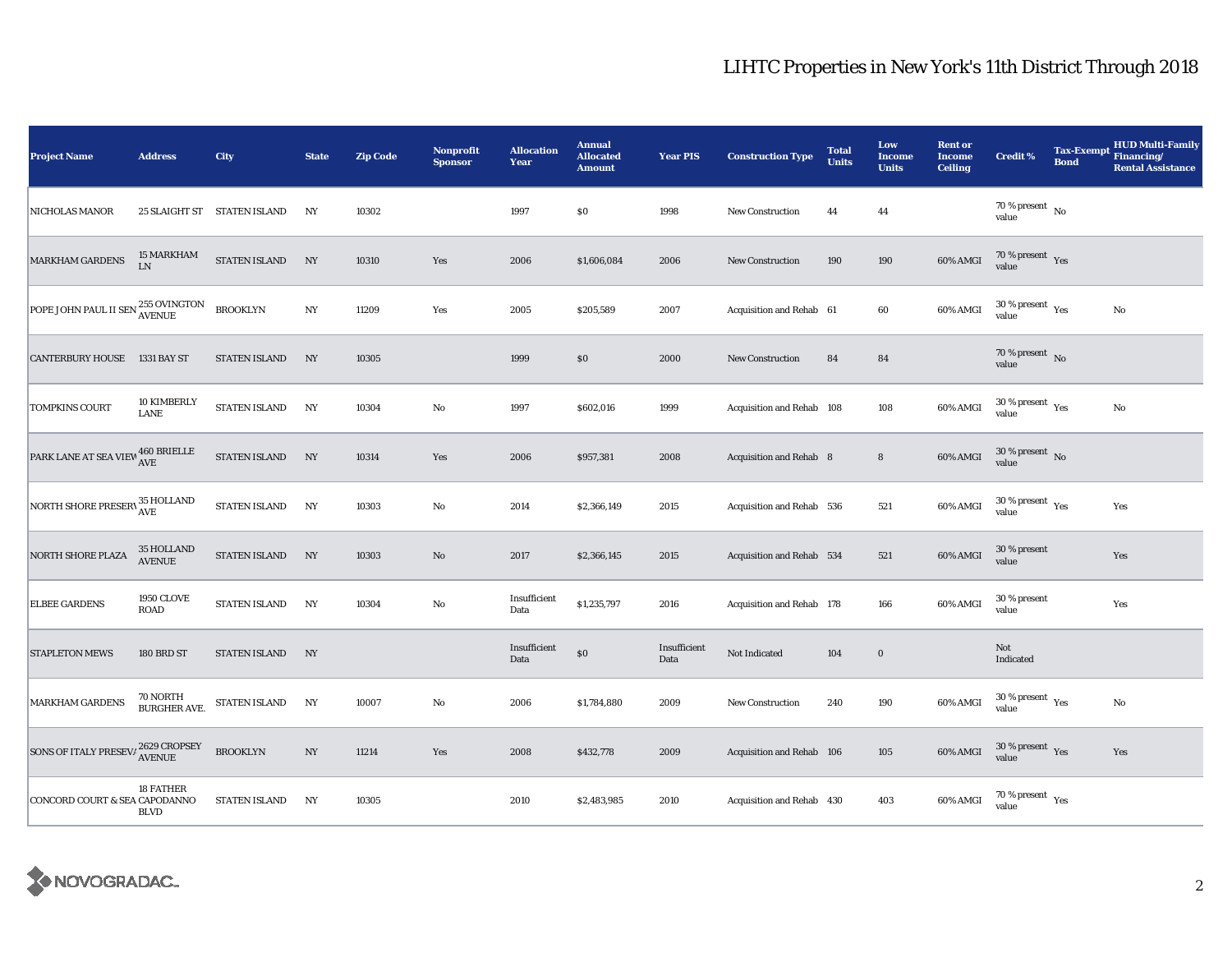## LIHTC Properties in New York's 11th District Through 2018

| <b>Project Name</b>                                                                            | <b>Address</b>                         | City                        | <b>State</b>     | <b>Zip Code</b> | Nonprofit<br><b>Sponsor</b> | <b>Allocation</b><br>Year | <b>Annual</b><br><b>Allocated</b><br><b>Amount</b> | <b>Year PIS</b>      | <b>Construction Type</b>  | <b>Total</b><br><b>Units</b> | Low<br><b>Income</b><br><b>Units</b> | <b>Rent or</b><br><b>Income</b><br><b>Ceiling</b> | <b>Credit %</b>                              | <b>Tax-Exempt</b><br><b>Bond</b> | <b>HUD Multi-Family</b><br>Financing/<br><b>Rental Assistance</b> |
|------------------------------------------------------------------------------------------------|----------------------------------------|-----------------------------|------------------|-----------------|-----------------------------|---------------------------|----------------------------------------------------|----------------------|---------------------------|------------------------------|--------------------------------------|---------------------------------------------------|----------------------------------------------|----------------------------------|-------------------------------------------------------------------|
| NICHOLAS MANOR                                                                                 |                                        | 25 SLAIGHT ST STATEN ISLAND | NY               | 10302           |                             | 1997                      | $\$0$                                              | 1998                 | <b>New Construction</b>   | 44                           | 44                                   |                                                   | $70\,\%$ present $\,$ No value               |                                  |                                                                   |
| <b>MARKHAM GARDENS</b>                                                                         | 15 MARKHAM<br>LN                       | STATEN ISLAND               | $_{\mathrm{NY}}$ | 10310           | Yes                         | 2006                      | \$1,606,084                                        | 2006                 | <b>New Construction</b>   | 190                          | 190                                  | 60% AMGI                                          | 70 % present $\gamma_{\rm{es}}$<br>value     |                                  |                                                                   |
| POPE JOHN PAUL II SEN 255 OVINGTON                                                             |                                        | <b>BROOKLYN</b>             | $_{\mathrm{NY}}$ | 11209           | Yes                         | 2005                      | \$205,589                                          | 2007                 | Acquisition and Rehab 61  |                              | 60                                   | 60% AMGI                                          | $30\,\%$ present $\,$ Yes value              |                                  | No                                                                |
| <b>CANTERBURY HOUSE 1331 BAY ST</b>                                                            |                                        | <b>STATEN ISLAND</b>        | NY               | 10305           |                             | 1999                      | $\$0$                                              | 2000                 | <b>New Construction</b>   | 84                           | 84                                   |                                                   | 70 % present $\,$ No $\,$<br>value           |                                  |                                                                   |
| <b>TOMPKINS COURT</b>                                                                          | 10 KIMBERLY<br><b>LANE</b>             | STATEN ISLAND               | NY               | 10304           | No                          | 1997                      | \$602,016                                          | 1999                 | Acquisition and Rehab 108 |                              | 108                                  | 60% AMGI                                          | $30\,\%$ present $\,$ Yes value              |                                  | $\rm No$                                                          |
| $\boxed{\text{PARK}\ \text{LANE}\ \text{AT}\ \text{SEA}\ \text{VIEW}^{\ }460\ \text{BRIELLE}}$ |                                        | STATEN ISLAND               | NY               | 10314           | Yes                         | 2006                      | \$957,381                                          | 2008                 | Acquisition and Rehab 8   |                              | $\bf8$                               | 60% AMGI                                          | $30$ % present $\,$ No $\,$<br>value         |                                  |                                                                   |
| NORTH SHORE PRESERV 35 HOLLAND                                                                 |                                        | <b>STATEN ISLAND</b>        | NY               | 10303           | $\mathbf {No}$              | 2014                      | \$2,366,149                                        | 2015                 | Acquisition and Rehab 536 |                              | 521                                  | 60% AMGI                                          | $30\,\%$ present $\,$ Yes value              |                                  | Yes                                                               |
| NORTH SHORE PLAZA                                                                              | 35 HOLLAND<br><b>AVENUE</b>            | <b>STATEN ISLAND</b>        | NY               | 10303           | $\rm No$                    | 2017                      | \$2,366,145                                        | 2015                 | Acquisition and Rehab 534 |                              | 521                                  | 60% AMGI                                          | 30 % present<br>value                        |                                  | Yes                                                               |
| <b>ELBEE GARDENS</b>                                                                           | <b>1950 CLOVE</b><br>ROAD              | <b>STATEN ISLAND</b>        | NY               | 10304           | $\mathbf {No}$              | Insufficient<br>Data      | \$1,235,797                                        | 2016                 | Acquisition and Rehab 178 |                              | 166                                  | 60% AMGI                                          | 30 % present<br>value                        |                                  | Yes                                                               |
| <b>STAPLETON MEWS</b>                                                                          | 180 BRD ST                             | STATEN ISLAND               | NY               |                 |                             | Insufficient<br>Data      | $\$0$                                              | Insufficient<br>Data | Not Indicated             | 104                          | $\bf{0}$                             |                                                   | Not<br>Indicated                             |                                  |                                                                   |
| MARKHAM GARDENS                                                                                | <b>70 NORTH</b><br><b>BURGHER AVE.</b> | STATEN ISLAND               | NY               | 10007           | No                          | 2006                      | \$1,784,880                                        | 2009                 | New Construction          | 240                          | 190                                  | 60% AMGI                                          | $30$ % present $\rm\thinspace\,Yes$<br>value |                                  | No                                                                |
| SONS OF ITALY PRESEV/2629 CROPSEY                                                              |                                        | <b>BROOKLYN</b>             | $_{\mathrm{NY}}$ | 11214           | Yes                         | 2008                      | \$432,778                                          | 2009                 | Acquisition and Rehab 106 |                              | 105                                  | 60% AMGI                                          | $30$ % present $\,$ $\rm Yes$<br>value       |                                  | Yes                                                               |
| CONCORD COURT & SEA CAPODANNO                                                                  | 18 FATHER<br><b>BLVD</b>               | <b>STATEN ISLAND</b>        | NY               | 10305           |                             | 2010                      | \$2,483,985                                        | 2010                 | Acquisition and Rehab 430 |                              | 403                                  | 60% AMGI                                          | $70$ % present $\rm\thinspace\,Yes$<br>value |                                  |                                                                   |

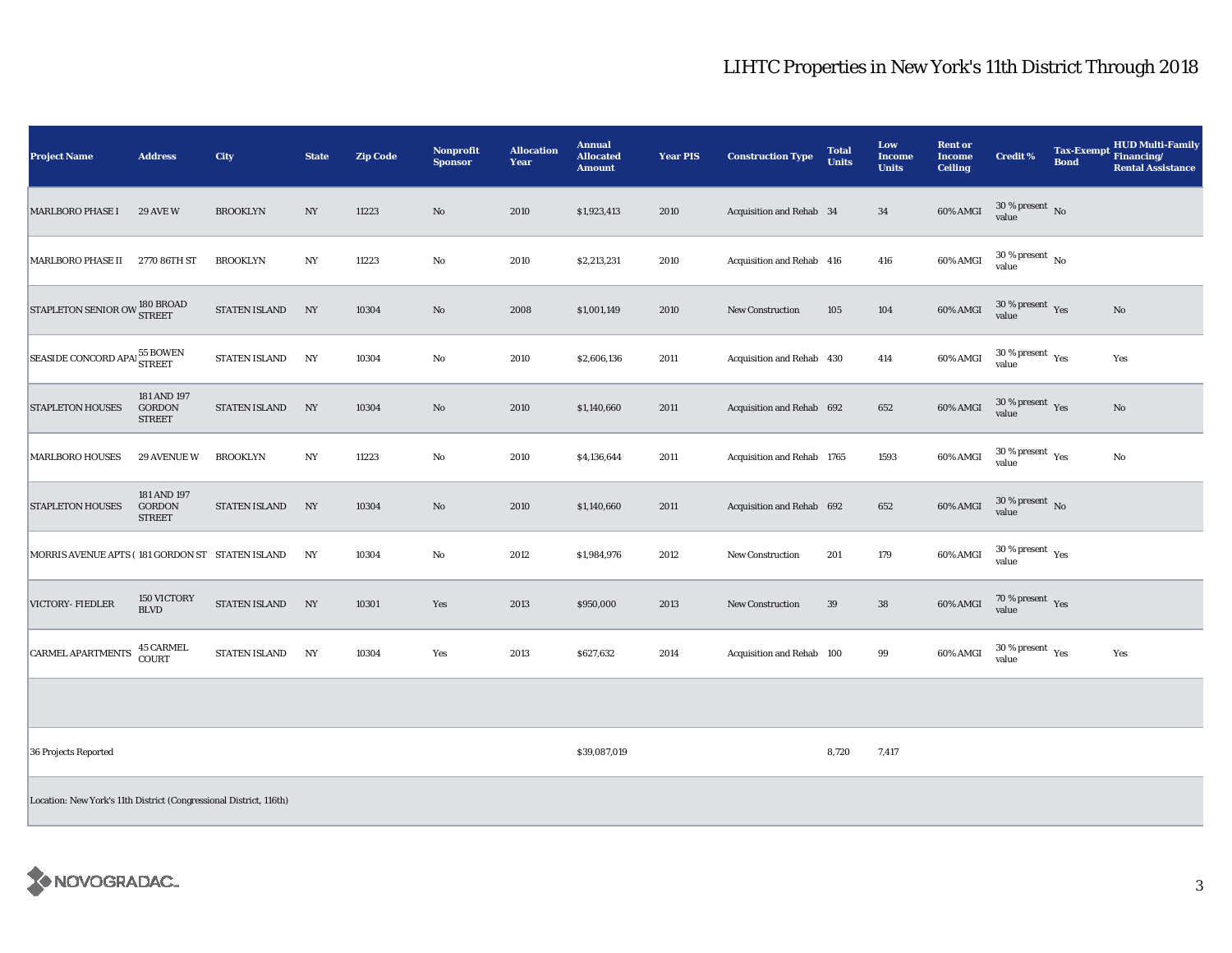## LIHTC Properties in New York's 11th District Through 2018

| <b>Project Name</b>                                                | <b>Address</b>                                | City                 | <b>State</b>     | <b>Zip Code</b> | <b>Nonprofit</b><br><b>Sponsor</b> | <b>Allocation</b><br><b>Year</b> | <b>Annual</b><br><b>Allocated</b><br><b>Amount</b> | <b>Year PIS</b> | <b>Construction Type</b>   | <b>Total</b><br><b>Units</b> | Low<br><b>Income</b><br><b>Units</b> | <b>Rent or</b><br><b>Income</b><br><b>Ceiling</b> | <b>Credit %</b>                                 | <b>Tax-Exempt</b><br><b>Bond</b> | <b>HUD Multi-Family</b><br>Financing/<br><b>Rental Assistance</b> |
|--------------------------------------------------------------------|-----------------------------------------------|----------------------|------------------|-----------------|------------------------------------|----------------------------------|----------------------------------------------------|-----------------|----------------------------|------------------------------|--------------------------------------|---------------------------------------------------|-------------------------------------------------|----------------------------------|-------------------------------------------------------------------|
| <b>MARLBORO PHASE I</b>                                            | <b>29 AVE W</b>                               | <b>BROOKLYN</b>      | $_{\mathrm{NY}}$ | 11223           | $\rm No$                           | 2010                             | \$1,923,413                                        | 2010            | Acquisition and Rehab 34   |                              | $\bf{34}$                            | 60% AMGI                                          | $30\,\%$ present $\,$ No value                  |                                  |                                                                   |
| MARLBORO PHASE II                                                  | 2770 86TH ST                                  | <b>BROOKLYN</b>      | NY               | 11223           | No                                 | 2010                             | \$2,213,231                                        | 2010            | Acquisition and Rehab 416  |                              | 416                                  | 60% AMGI                                          | $30\,\%$ present $\,$ No value                  |                                  |                                                                   |
| STAPLETON SENIOR OW STREET                                         |                                               | <b>STATEN ISLAND</b> | NY               | 10304           | No                                 | 2008                             | \$1,001,149                                        | 2010            | <b>New Construction</b>    | 105                          | 104                                  | 60% AMGI                                          | $30$ % present $\,$ $\rm Yes$<br>value          |                                  | No                                                                |
| SEASIDE CONCORD APAL 55 BOWEN                                      |                                               | <b>STATEN ISLAND</b> | NY               | 10304           | No                                 | 2010                             | \$2,606,136                                        | 2011            | Acquisition and Rehab 430  |                              | 414                                  | 60% AMGI                                          | $30\,\%$ present $\rm\thinspace_{Yes}$<br>value |                                  | Yes                                                               |
| <b>STAPLETON HOUSES</b>                                            | 181 AND 197<br><b>GORDON</b><br><b>STREET</b> | <b>STATEN ISLAND</b> | NY               | 10304           | $\rm No$                           | 2010                             | \$1,140,660                                        | 2011            | Acquisition and Rehab 692  |                              | 652                                  | 60% AMGI                                          | $30\,\%$ present $\,$ Yes value                 |                                  | $\rm No$                                                          |
| <b>MARLBORO HOUSES</b>                                             | <b>29 AVENUE W</b>                            | <b>BROOKLYN</b>      | NY               | 11223           | $\mathbf{No}$                      | 2010                             | \$4,136,644                                        | 2011            | Acquisition and Rehab 1765 |                              | 1593                                 | $60\%$ AMGI                                       | 30 % present $\rm \gamma_{\rm es}$<br>value     |                                  | No                                                                |
| <b>STAPLETON HOUSES</b>                                            | 181 AND 197<br><b>GORDON</b><br><b>STREET</b> | <b>STATEN ISLAND</b> | NY               | 10304           | $\rm No$                           | 2010                             | \$1,140,660                                        | 2011            | Acquisition and Rehab 692  |                              | 652                                  | 60% AMGI                                          | $30\,\%$ present $\,$ No value                  |                                  |                                                                   |
| MORRIS AVENUE APTS (181 GORDON ST STATEN ISLAND                    |                                               |                      | NY               | 10304           | $\mathbf{No}$                      | 2012                             | \$1,984,976                                        | 2012            | New Construction           | 201                          | 179                                  | 60% AMGI                                          | $30\,\%$ present $\,$ Yes value                 |                                  |                                                                   |
| VICTORY- FIEDLER                                                   | 150 VICTORY<br><b>BLVD</b>                    | STATEN ISLAND        | NY               | 10301           | Yes                                | 2013                             | \$950,000                                          | 2013            | <b>New Construction</b>    | 39                           | ${\bf 38}$                           | 60% AMGI                                          | 70 % present Yes<br>value                       |                                  |                                                                   |
| <b>CARMEL APARTMENTS</b>                                           | 45 CARMEL<br>COURT                            | <b>STATEN ISLAND</b> | NY               | 10304           | Yes                                | 2013                             | \$627,632                                          | 2014            | Acquisition and Rehab 100  |                              | 99                                   | 60% AMGI                                          | $30\,\%$ present $\rm\thinspace_{Yes}$<br>value |                                  | Yes                                                               |
|                                                                    |                                               |                      |                  |                 |                                    |                                  |                                                    |                 |                            |                              |                                      |                                                   |                                                 |                                  |                                                                   |
| 36 Projects Reported                                               |                                               |                      |                  |                 |                                    |                                  | \$39,087,019                                       |                 |                            | 8,720                        | 7,417                                |                                                   |                                                 |                                  |                                                                   |
| Location: New York's 11th District (Congressional District, 116th) |                                               |                      |                  |                 |                                    |                                  |                                                    |                 |                            |                              |                                      |                                                   |                                                 |                                  |                                                                   |